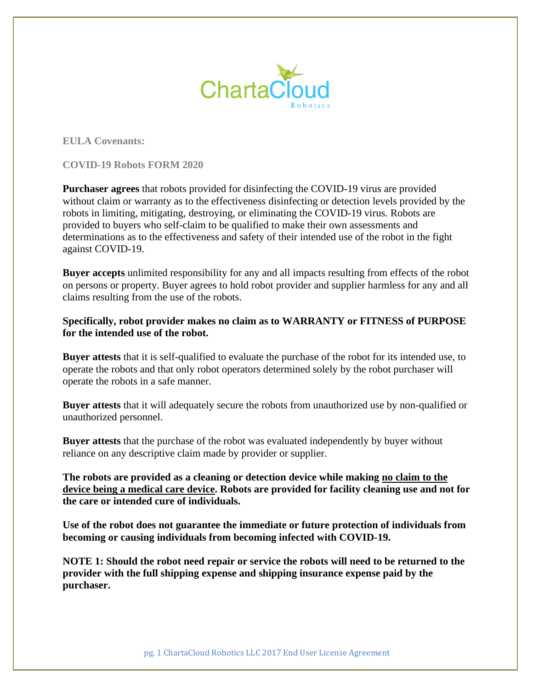

**EULA Covenants:**

**COVID-19 Robots FORM 2020**

**Purchaser agrees** that robots provided for disinfecting the COVID-19 virus are provided without claim or warranty as to the effectiveness disinfecting or detection levels provided by the robots in limiting, mitigating, destroying, or eliminating the COVID-19 virus. Robots are provided to buyers who self-claim to be qualified to make their own assessments and determinations as to the effectiveness and safety of their intended use of the robot in the fight against COVID-19.

**Buyer accepts** unlimited responsibility for any and all impacts resulting from effects of the robot on persons or property. Buyer agrees to hold robot provider and supplier harmless for any and all claims resulting from the use of the robots.

**Specifically, robot provider makes no claim as to WARRANTY or FITNESS of PURPOSE for the intended use of the robot.**

**Buyer attests** that it is self-qualified to evaluate the purchase of the robot for its intended use, to operate the robots and that only robot operators determined solely by the robot purchaser will operate the robots in a safe manner.

**Buyer attests** that it will adequately secure the robots from unauthorized use by non-qualified or unauthorized personnel.

**Buyer attests** that the purchase of the robot was evaluated independently by buyer without reliance on any descriptive claim made by provider or supplier.

**The robots are provided as a cleaning or detection device while making no claim to the device being a medical care device. Robots are provided for facility cleaning use and not for the care or intended cure of individuals.** 

**Use of the robot does not guarantee the immediate or future protection of individuals from becoming or causing individuals from becoming infected with COVID-19.**

**NOTE 1: Should the robot need repair or service the robots will need to be returned to the provider with the full shipping expense and shipping insurance expense paid by the purchaser.**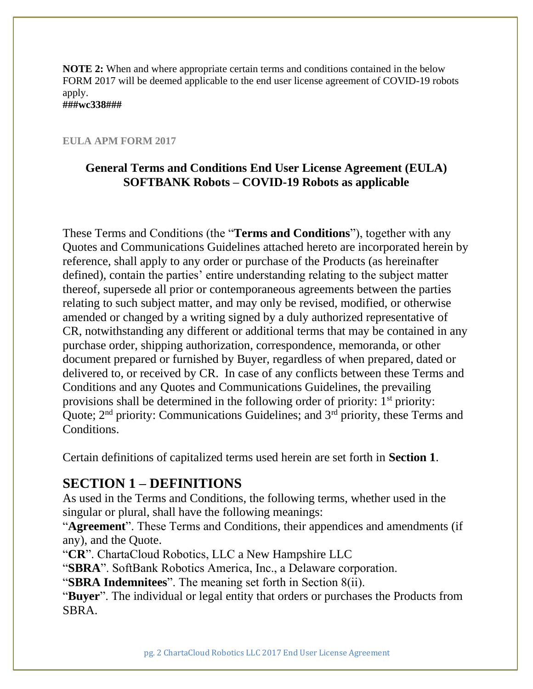**NOTE 2:** When and where appropriate certain terms and conditions contained in the below FORM 2017 will be deemed applicable to the end user license agreement of COVID-19 robots apply.

**###wc338###**

#### **EULA APM FORM 2017**

#### **General Terms and Conditions End User License Agreement (EULA) SOFTBANK Robots – COVID-19 Robots as applicable**

These Terms and Conditions (the "**Terms and Conditions**"), together with any Quotes and Communications Guidelines attached hereto are incorporated herein by reference, shall apply to any order or purchase of the Products (as hereinafter defined), contain the parties' entire understanding relating to the subject matter thereof, supersede all prior or contemporaneous agreements between the parties relating to such subject matter, and may only be revised, modified, or otherwise amended or changed by a writing signed by a duly authorized representative of CR, notwithstanding any different or additional terms that may be contained in any purchase order, shipping authorization, correspondence, memoranda, or other document prepared or furnished by Buyer, regardless of when prepared, dated or delivered to, or received by CR. In case of any conflicts between these Terms and Conditions and any Quotes and Communications Guidelines, the prevailing provisions shall be determined in the following order of priority:  $1<sup>st</sup>$  priority: Quote; 2<sup>nd</sup> priority: Communications Guidelines; and 3<sup>rd</sup> priority, these Terms and Conditions.

Certain definitions of capitalized terms used herein are set forth in **Section 1**.

# **SECTION 1 – DEFINITIONS**

As used in the Terms and Conditions, the following terms, whether used in the singular or plural, shall have the following meanings:

"Agreement". These Terms and Conditions, their appendices and amendments (if any), and the Quote.

"**CR**". ChartaCloud Robotics, LLC a New Hampshire LLC

"**SBRA**". SoftBank Robotics America, Inc., a Delaware corporation.

"**SBRA Indemnitees**". The meaning set forth in Section 8(ii).

"**Buyer**". The individual or legal entity that orders or purchases the Products from SBRA.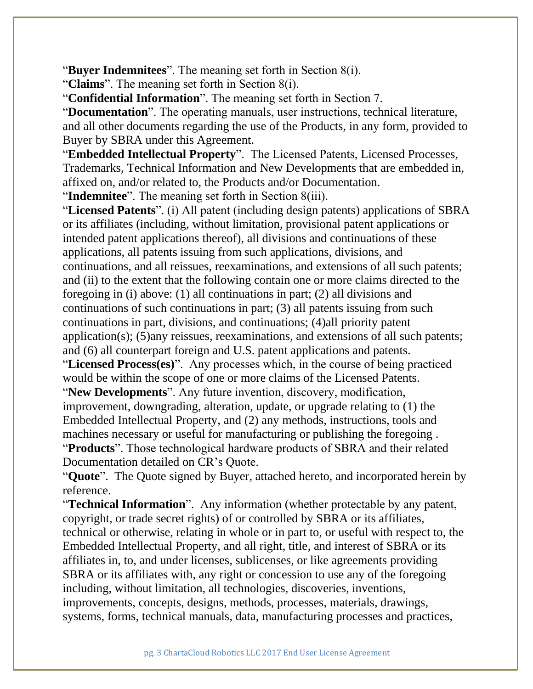"**Buyer Indemnitees**". The meaning set forth in Section 8(i).

"**Claims**". The meaning set forth in Section 8(i).

"**Confidential Information**". The meaning set forth in Section 7.

"**Documentation**". The operating manuals, user instructions, technical literature, and all other documents regarding the use of the Products, in any form, provided to Buyer by SBRA under this Agreement.

"**Embedded Intellectual Property**". The Licensed Patents, Licensed Processes, Trademarks, Technical Information and New Developments that are embedded in, affixed on, and/or related to, the Products and/or Documentation.

"**Indemnitee**". The meaning set forth in Section 8(iii).

"**Licensed Patents**". (i) All patent (including design patents) applications of SBRA or its affiliates (including, without limitation, provisional patent applications or intended patent applications thereof), all divisions and continuations of these applications, all patents issuing from such applications, divisions, and continuations, and all reissues, reexaminations, and extensions of all such patents; and (ii) to the extent that the following contain one or more claims directed to the foregoing in (i) above: (1) all continuations in part; (2) all divisions and continuations of such continuations in part; (3) all patents issuing from such continuations in part, divisions, and continuations; (4)all priority patent application(s); (5)any reissues, reexaminations, and extensions of all such patents; and (6) all counterpart foreign and U.S. patent applications and patents. "**Licensed Process(es)**". Any processes which, in the course of being practiced would be within the scope of one or more claims of the Licensed Patents. "**New Developments**". Any future invention, discovery, modification,

improvement, downgrading, alteration, update, or upgrade relating to (1) the Embedded Intellectual Property, and (2) any methods, instructions, tools and machines necessary or useful for manufacturing or publishing the foregoing . "**Products**". Those technological hardware products of SBRA and their related Documentation detailed on CR's Quote.

"**Quote**". The Quote signed by Buyer, attached hereto, and incorporated herein by reference.

"**Technical Information**". Any information (whether protectable by any patent, copyright, or trade secret rights) of or controlled by SBRA or its affiliates, technical or otherwise, relating in whole or in part to, or useful with respect to, the Embedded Intellectual Property, and all right, title, and interest of SBRA or its affiliates in, to, and under licenses, sublicenses, or like agreements providing SBRA or its affiliates with, any right or concession to use any of the foregoing including, without limitation, all technologies, discoveries, inventions, improvements, concepts, designs, methods, processes, materials, drawings, systems, forms, technical manuals, data, manufacturing processes and practices,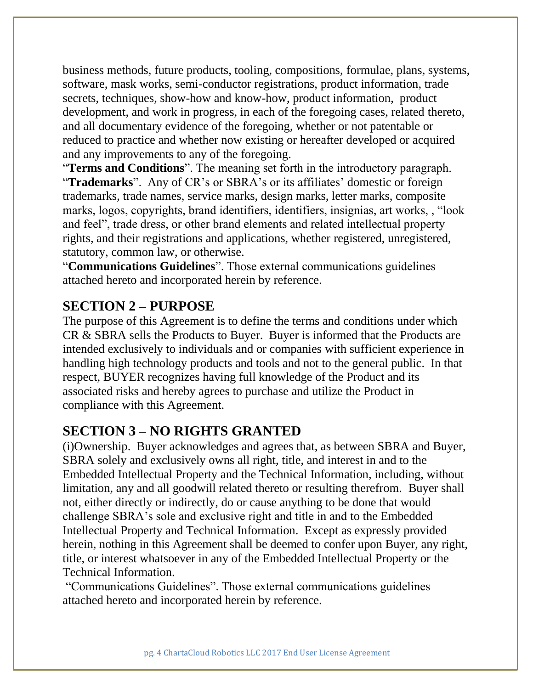business methods, future products, tooling, compositions, formulae, plans, systems, software, mask works, semi-conductor registrations, product information, trade secrets, techniques, show-how and know-how, product information, product development, and work in progress, in each of the foregoing cases, related thereto, and all documentary evidence of the foregoing, whether or not patentable or reduced to practice and whether now existing or hereafter developed or acquired and any improvements to any of the foregoing.

"**Terms and Conditions**". The meaning set forth in the introductory paragraph. "**Trademarks**". Any of CR's or SBRA's or its affiliates' domestic or foreign trademarks, trade names, service marks, design marks, letter marks, composite marks, logos, copyrights, brand identifiers, identifiers, insignias, art works, , "look and feel", trade dress, or other brand elements and related intellectual property rights, and their registrations and applications, whether registered, unregistered, statutory, common law, or otherwise.

"**Communications Guidelines**". Those external communications guidelines attached hereto and incorporated herein by reference.

### **SECTION 2 – PURPOSE**

The purpose of this Agreement is to define the terms and conditions under which CR & SBRA sells the Products to Buyer. Buyer is informed that the Products are intended exclusively to individuals and or companies with sufficient experience in handling high technology products and tools and not to the general public. In that respect, BUYER recognizes having full knowledge of the Product and its associated risks and hereby agrees to purchase and utilize the Product in compliance with this Agreement.

# **SECTION 3 – NO RIGHTS GRANTED**

(i)Ownership. Buyer acknowledges and agrees that, as between SBRA and Buyer, SBRA solely and exclusively owns all right, title, and interest in and to the Embedded Intellectual Property and the Technical Information, including, without limitation, any and all goodwill related thereto or resulting therefrom. Buyer shall not, either directly or indirectly, do or cause anything to be done that would challenge SBRA's sole and exclusive right and title in and to the Embedded Intellectual Property and Technical Information. Except as expressly provided herein, nothing in this Agreement shall be deemed to confer upon Buyer, any right, title, or interest whatsoever in any of the Embedded Intellectual Property or the Technical Information.

"Communications Guidelines". Those external communications guidelines attached hereto and incorporated herein by reference.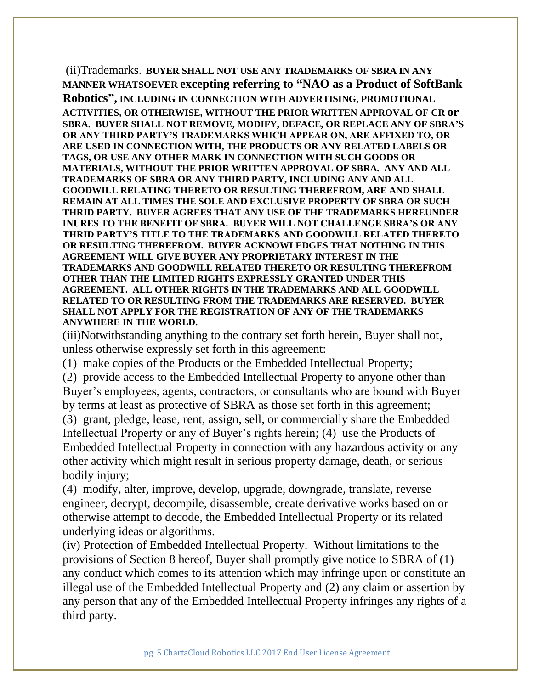(ii)Trademarks. **BUYER SHALL NOT USE ANY TRADEMARKS OF SBRA IN ANY MANNER WHATSOEVER excepting referring to "NAO as a Product of SoftBank Robotics" , INCLUDING IN CONNECTION WITH ADVERTISING, PROMOTIONAL ACTIVITIES, OR OTHERWISE, WITHOUT THE PRIOR WRITTEN APPROVAL OF CR or SBRA. BUYER SHALL NOT REMOVE, MODIFY, DEFACE, OR REPLACE ANY OF SBRA'S OR ANY THIRD PARTY'S TRADEMARKS WHICH APPEAR ON, ARE AFFIXED TO, OR ARE USED IN CONNECTION WITH, THE PRODUCTS OR ANY RELATED LABELS OR TAGS, OR USE ANY OTHER MARK IN CONNECTION WITH SUCH GOODS OR MATERIALS, WITHOUT THE PRIOR WRITTEN APPROVAL OF SBRA. ANY AND ALL TRADEMARKS OF SBRA OR ANY THIRD PARTY, INCLUDING ANY AND ALL GOODWILL RELATING THERETO OR RESULTING THEREFROM, ARE AND SHALL REMAIN AT ALL TIMES THE SOLE AND EXCLUSIVE PROPERTY OF SBRA OR SUCH THRID PARTY. BUYER AGREES THAT ANY USE OF THE TRADEMARKS HEREUNDER INURES TO THE BENEFIT OF SBRA. BUYER WILL NOT CHALLENGE SBRA'S OR ANY THRID PARTY'S TITLE TO THE TRADEMARKS AND GOODWILL RELATED THERETO OR RESULTING THEREFROM. BUYER ACKNOWLEDGES THAT NOTHING IN THIS AGREEMENT WILL GIVE BUYER ANY PROPRIETARY INTEREST IN THE TRADEMARKS AND GOODWILL RELATED THERETO OR RESULTING THEREFROM OTHER THAN THE LIMITED RIGHTS EXPRESSLY GRANTED UNDER THIS AGREEMENT. ALL OTHER RIGHTS IN THE TRADEMARKS AND ALL GOODWILL RELATED TO OR RESULTING FROM THE TRADEMARKS ARE RESERVED. BUYER SHALL NOT APPLY FOR THE REGISTRATION OF ANY OF THE TRADEMARKS ANYWHERE IN THE WORLD.**

(iii)Notwithstanding anything to the contrary set forth herein, Buyer shall not, unless otherwise expressly set forth in this agreement:

(1) make copies of the Products or the Embedded Intellectual Property;

(2) provide access to the Embedded Intellectual Property to anyone other than Buyer's employees, agents, contractors, or consultants who are bound with Buyer by terms at least as protective of SBRA as those set forth in this agreement; (3) grant, pledge, lease, rent, assign, sell, or commercially share the Embedded Intellectual Property or any of Buyer's rights herein; (4) use the Products of Embedded Intellectual Property in connection with any hazardous activity or any other activity which might result in serious property damage, death, or serious bodily injury;

(4) modify, alter, improve, develop, upgrade, downgrade, translate, reverse engineer, decrypt, decompile, disassemble, create derivative works based on or otherwise attempt to decode, the Embedded Intellectual Property or its related underlying ideas or algorithms.

(iv) Protection of Embedded Intellectual Property. Without limitations to the provisions of Section 8 hereof, Buyer shall promptly give notice to SBRA of (1) any conduct which comes to its attention which may infringe upon or constitute an illegal use of the Embedded Intellectual Property and (2) any claim or assertion by any person that any of the Embedded Intellectual Property infringes any rights of a third party.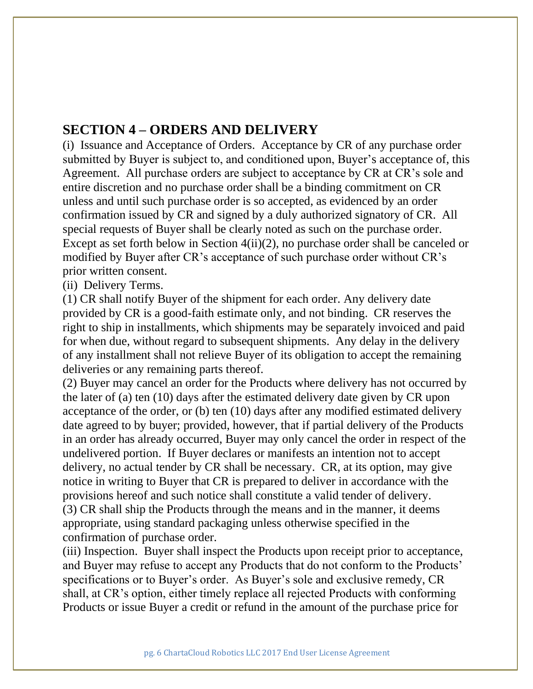# **SECTION 4 – ORDERS AND DELIVERY**

(i) Issuance and Acceptance of Orders. Acceptance by CR of any purchase order submitted by Buyer is subject to, and conditioned upon, Buyer's acceptance of, this Agreement. All purchase orders are subject to acceptance by CR at CR's sole and entire discretion and no purchase order shall be a binding commitment on CR unless and until such purchase order is so accepted, as evidenced by an order confirmation issued by CR and signed by a duly authorized signatory of CR. All special requests of Buyer shall be clearly noted as such on the purchase order. Except as set forth below in Section 4(ii)(2), no purchase order shall be canceled or modified by Buyer after CR's acceptance of such purchase order without CR's prior written consent.

(ii) Delivery Terms.

(1) CR shall notify Buyer of the shipment for each order. Any delivery date provided by CR is a good-faith estimate only, and not binding. CR reserves the right to ship in installments, which shipments may be separately invoiced and paid for when due, without regard to subsequent shipments. Any delay in the delivery of any installment shall not relieve Buyer of its obligation to accept the remaining deliveries or any remaining parts thereof.

(2) Buyer may cancel an order for the Products where delivery has not occurred by the later of (a) ten (10) days after the estimated delivery date given by CR upon acceptance of the order, or (b) ten (10) days after any modified estimated delivery date agreed to by buyer; provided, however, that if partial delivery of the Products in an order has already occurred, Buyer may only cancel the order in respect of the undelivered portion. If Buyer declares or manifests an intention not to accept delivery, no actual tender by CR shall be necessary. CR, at its option, may give notice in writing to Buyer that CR is prepared to deliver in accordance with the provisions hereof and such notice shall constitute a valid tender of delivery. (3) CR shall ship the Products through the means and in the manner, it deems appropriate, using standard packaging unless otherwise specified in the confirmation of purchase order.

(iii) Inspection. Buyer shall inspect the Products upon receipt prior to acceptance, and Buyer may refuse to accept any Products that do not conform to the Products' specifications or to Buyer's order. As Buyer's sole and exclusive remedy, CR shall, at CR's option, either timely replace all rejected Products with conforming Products or issue Buyer a credit or refund in the amount of the purchase price for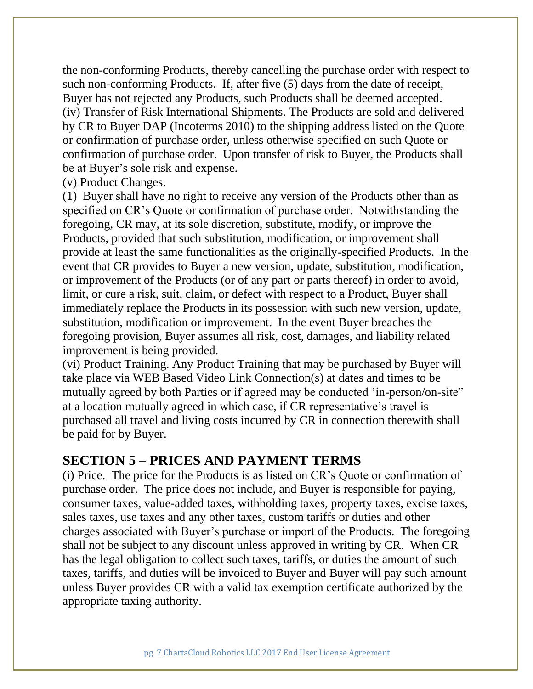the non-conforming Products, thereby cancelling the purchase order with respect to such non-conforming Products. If, after five (5) days from the date of receipt, Buyer has not rejected any Products, such Products shall be deemed accepted. (iv) Transfer of Risk International Shipments. The Products are sold and delivered by CR to Buyer DAP (Incoterms 2010) to the shipping address listed on the Quote or confirmation of purchase order, unless otherwise specified on such Quote or confirmation of purchase order. Upon transfer of risk to Buyer, the Products shall be at Buyer's sole risk and expense.

(v) Product Changes.

(1) Buyer shall have no right to receive any version of the Products other than as specified on CR's Quote or confirmation of purchase order. Notwithstanding the foregoing, CR may, at its sole discretion, substitute, modify, or improve the Products, provided that such substitution, modification, or improvement shall provide at least the same functionalities as the originally-specified Products. In the event that CR provides to Buyer a new version, update, substitution, modification, or improvement of the Products (or of any part or parts thereof) in order to avoid, limit, or cure a risk, suit, claim, or defect with respect to a Product, Buyer shall immediately replace the Products in its possession with such new version, update, substitution, modification or improvement. In the event Buyer breaches the foregoing provision, Buyer assumes all risk, cost, damages, and liability related improvement is being provided.

(vi) Product Training. Any Product Training that may be purchased by Buyer will take place via WEB Based Video Link Connection(s) at dates and times to be mutually agreed by both Parties or if agreed may be conducted 'in-person/on-site" at a location mutually agreed in which case, if CR representative's travel is purchased all travel and living costs incurred by CR in connection therewith shall be paid for by Buyer.

### **SECTION 5 – PRICES AND PAYMENT TERMS**

(i) Price. The price for the Products is as listed on CR's Quote or confirmation of purchase order. The price does not include, and Buyer is responsible for paying, consumer taxes, value-added taxes, withholding taxes, property taxes, excise taxes, sales taxes, use taxes and any other taxes, custom tariffs or duties and other charges associated with Buyer's purchase or import of the Products. The foregoing shall not be subject to any discount unless approved in writing by CR. When CR has the legal obligation to collect such taxes, tariffs, or duties the amount of such taxes, tariffs, and duties will be invoiced to Buyer and Buyer will pay such amount unless Buyer provides CR with a valid tax exemption certificate authorized by the appropriate taxing authority.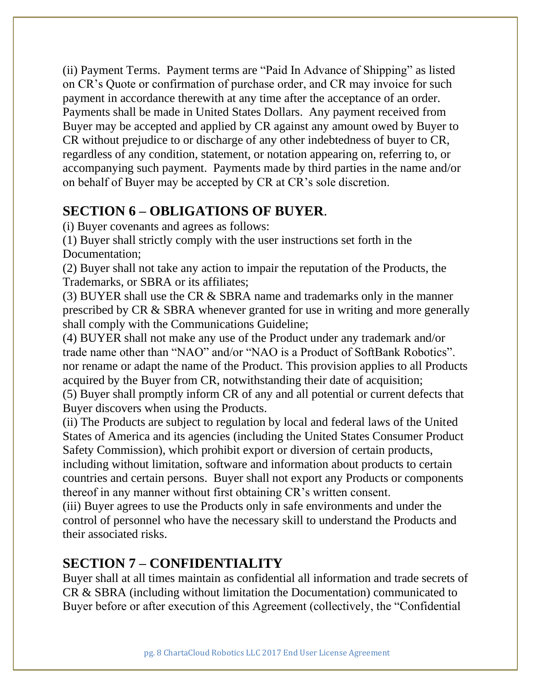(ii) Payment Terms. Payment terms are "Paid In Advance of Shipping" as listed on CR's Quote or confirmation of purchase order, and CR may invoice for such payment in accordance therewith at any time after the acceptance of an order. Payments shall be made in United States Dollars. Any payment received from Buyer may be accepted and applied by CR against any amount owed by Buyer to CR without prejudice to or discharge of any other indebtedness of buyer to CR, regardless of any condition, statement, or notation appearing on, referring to, or accompanying such payment. Payments made by third parties in the name and/or on behalf of Buyer may be accepted by CR at CR's sole discretion.

## **SECTION 6 – OBLIGATIONS OF BUYER**.

(i) Buyer covenants and agrees as follows:

(1) Buyer shall strictly comply with the user instructions set forth in the Documentation;

(2) Buyer shall not take any action to impair the reputation of the Products, the Trademarks, or SBRA or its affiliates;

(3) BUYER shall use the CR & SBRA name and trademarks only in the manner prescribed by CR & SBRA whenever granted for use in writing and more generally shall comply with the Communications Guideline;

(4) BUYER shall not make any use of the Product under any trademark and/or trade name other than "NAO" and/or "NAO is a Product of SoftBank Robotics". nor rename or adapt the name of the Product. This provision applies to all Products acquired by the Buyer from CR, notwithstanding their date of acquisition;

(5) Buyer shall promptly inform CR of any and all potential or current defects that Buyer discovers when using the Products.

(ii) The Products are subject to regulation by local and federal laws of the United States of America and its agencies (including the United States Consumer Product Safety Commission), which prohibit export or diversion of certain products, including without limitation, software and information about products to certain

countries and certain persons. Buyer shall not export any Products or components thereof in any manner without first obtaining CR's written consent.

(iii) Buyer agrees to use the Products only in safe environments and under the control of personnel who have the necessary skill to understand the Products and their associated risks.

# **SECTION 7 – CONFIDENTIALITY**

Buyer shall at all times maintain as confidential all information and trade secrets of CR & SBRA (including without limitation the Documentation) communicated to Buyer before or after execution of this Agreement (collectively, the "Confidential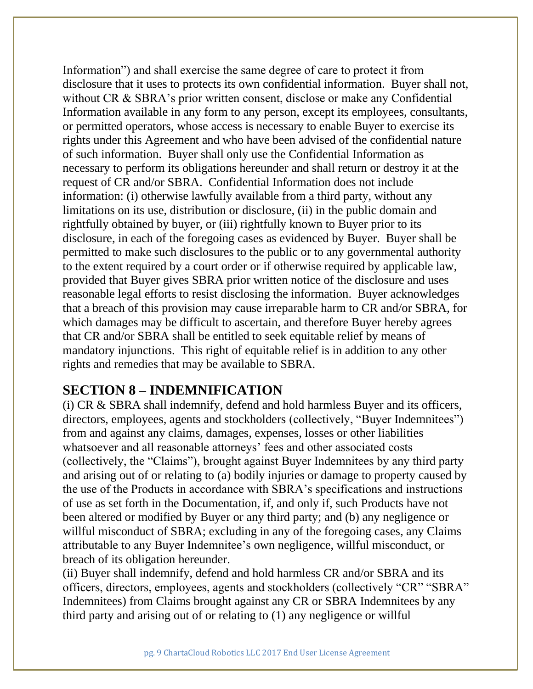Information") and shall exercise the same degree of care to protect it from disclosure that it uses to protects its own confidential information. Buyer shall not, without CR & SBRA's prior written consent, disclose or make any Confidential Information available in any form to any person, except its employees, consultants, or permitted operators, whose access is necessary to enable Buyer to exercise its rights under this Agreement and who have been advised of the confidential nature of such information. Buyer shall only use the Confidential Information as necessary to perform its obligations hereunder and shall return or destroy it at the request of CR and/or SBRA. Confidential Information does not include information: (i) otherwise lawfully available from a third party, without any limitations on its use, distribution or disclosure, (ii) in the public domain and rightfully obtained by buyer, or (iii) rightfully known to Buyer prior to its disclosure, in each of the foregoing cases as evidenced by Buyer. Buyer shall be permitted to make such disclosures to the public or to any governmental authority to the extent required by a court order or if otherwise required by applicable law, provided that Buyer gives SBRA prior written notice of the disclosure and uses reasonable legal efforts to resist disclosing the information. Buyer acknowledges that a breach of this provision may cause irreparable harm to CR and/or SBRA, for which damages may be difficult to ascertain, and therefore Buyer hereby agrees that CR and/or SBRA shall be entitled to seek equitable relief by means of mandatory injunctions. This right of equitable relief is in addition to any other rights and remedies that may be available to SBRA.

### **SECTION 8 – INDEMNIFICATION**

(i) CR & SBRA shall indemnify, defend and hold harmless Buyer and its officers, directors, employees, agents and stockholders (collectively, "Buyer Indemnitees") from and against any claims, damages, expenses, losses or other liabilities whatsoever and all reasonable attorneys' fees and other associated costs (collectively, the "Claims"), brought against Buyer Indemnitees by any third party and arising out of or relating to (a) bodily injuries or damage to property caused by the use of the Products in accordance with SBRA's specifications and instructions of use as set forth in the Documentation, if, and only if, such Products have not been altered or modified by Buyer or any third party; and (b) any negligence or willful misconduct of SBRA; excluding in any of the foregoing cases, any Claims attributable to any Buyer Indemnitee's own negligence, willful misconduct, or breach of its obligation hereunder.

(ii) Buyer shall indemnify, defend and hold harmless CR and/or SBRA and its officers, directors, employees, agents and stockholders (collectively "CR" "SBRA" Indemnitees) from Claims brought against any CR or SBRA Indemnitees by any third party and arising out of or relating to (1) any negligence or willful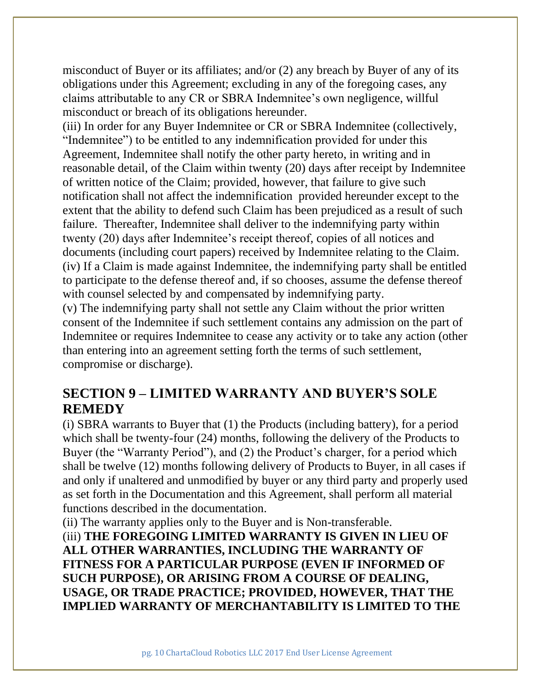misconduct of Buyer or its affiliates; and/or (2) any breach by Buyer of any of its obligations under this Agreement; excluding in any of the foregoing cases, any claims attributable to any CR or SBRA Indemnitee's own negligence, willful misconduct or breach of its obligations hereunder.

(iii) In order for any Buyer Indemnitee or CR or SBRA Indemnitee (collectively, "Indemnitee") to be entitled to any indemnification provided for under this Agreement, Indemnitee shall notify the other party hereto, in writing and in reasonable detail, of the Claim within twenty (20) days after receipt by Indemnitee of written notice of the Claim; provided, however, that failure to give such notification shall not affect the indemnification provided hereunder except to the extent that the ability to defend such Claim has been prejudiced as a result of such failure. Thereafter, Indemnitee shall deliver to the indemnifying party within twenty (20) days after Indemnitee's receipt thereof, copies of all notices and documents (including court papers) received by Indemnitee relating to the Claim. (iv) If a Claim is made against Indemnitee, the indemnifying party shall be entitled to participate to the defense thereof and, if so chooses, assume the defense thereof with counsel selected by and compensated by indemnifying party.

(v) The indemnifying party shall not settle any Claim without the prior written consent of the Indemnitee if such settlement contains any admission on the part of Indemnitee or requires Indemnitee to cease any activity or to take any action (other than entering into an agreement setting forth the terms of such settlement, compromise or discharge).

# **SECTION 9 – LIMITED WARRANTY AND BUYER'S SOLE REMEDY**

(i) SBRA warrants to Buyer that (1) the Products (including battery), for a period which shall be twenty-four (24) months, following the delivery of the Products to Buyer (the "Warranty Period"), and (2) the Product's charger, for a period which shall be twelve (12) months following delivery of Products to Buyer, in all cases if and only if unaltered and unmodified by buyer or any third party and properly used as set forth in the Documentation and this Agreement, shall perform all material functions described in the documentation.

(ii) The warranty applies only to the Buyer and is Non-transferable.

(iii) **THE FOREGOING LIMITED WARRANTY IS GIVEN IN LIEU OF ALL OTHER WARRANTIES, INCLUDING THE WARRANTY OF FITNESS FOR A PARTICULAR PURPOSE (EVEN IF INFORMED OF SUCH PURPOSE), OR ARISING FROM A COURSE OF DEALING, USAGE, OR TRADE PRACTICE; PROVIDED, HOWEVER, THAT THE IMPLIED WARRANTY OF MERCHANTABILITY IS LIMITED TO THE**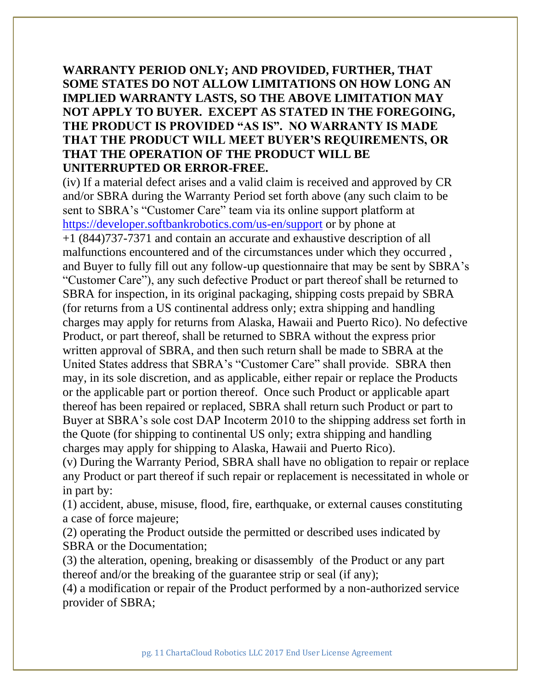#### **WARRANTY PERIOD ONLY; AND PROVIDED, FURTHER, THAT SOME STATES DO NOT ALLOW LIMITATIONS ON HOW LONG AN IMPLIED WARRANTY LASTS, SO THE ABOVE LIMITATION MAY NOT APPLY TO BUYER. EXCEPT AS STATED IN THE FOREGOING, THE PRODUCT IS PROVIDED "AS IS". NO WARRANTY IS MADE THAT THE PRODUCT WILL MEET BUYER'S REQUIREMENTS, OR THAT THE OPERATION OF THE PRODUCT WILL BE UNITERRUPTED OR ERROR-FREE.**

(iv) If a material defect arises and a valid claim is received and approved by CR and/or SBRA during the Warranty Period set forth above (any such claim to be sent to SBRA's "Customer Care" team via its online support platform at <https://developer.softbankrobotics.com/us-en/support> or by phone at +1 (844)737-7371 and contain an accurate and exhaustive description of all malfunctions encountered and of the circumstances under which they occurred , and Buyer to fully fill out any follow-up questionnaire that may be sent by SBRA's "Customer Care"), any such defective Product or part thereof shall be returned to SBRA for inspection, in its original packaging, shipping costs prepaid by SBRA (for returns from a US continental address only; extra shipping and handling charges may apply for returns from Alaska, Hawaii and Puerto Rico). No defective Product, or part thereof, shall be returned to SBRA without the express prior written approval of SBRA, and then such return shall be made to SBRA at the United States address that SBRA's "Customer Care" shall provide. SBRA then may, in its sole discretion, and as applicable, either repair or replace the Products or the applicable part or portion thereof. Once such Product or applicable apart thereof has been repaired or replaced, SBRA shall return such Product or part to Buyer at SBRA's sole cost DAP Incoterm 2010 to the shipping address set forth in the Quote (for shipping to continental US only; extra shipping and handling charges may apply for shipping to Alaska, Hawaii and Puerto Rico).

(v) During the Warranty Period, SBRA shall have no obligation to repair or replace any Product or part thereof if such repair or replacement is necessitated in whole or in part by:

(1) accident, abuse, misuse, flood, fire, earthquake, or external causes constituting a case of force majeure;

(2) operating the Product outside the permitted or described uses indicated by SBRA or the Documentation;

(3) the alteration, opening, breaking or disassembly of the Product or any part thereof and/or the breaking of the guarantee strip or seal (if any);

(4) a modification or repair of the Product performed by a non-authorized service provider of SBRA;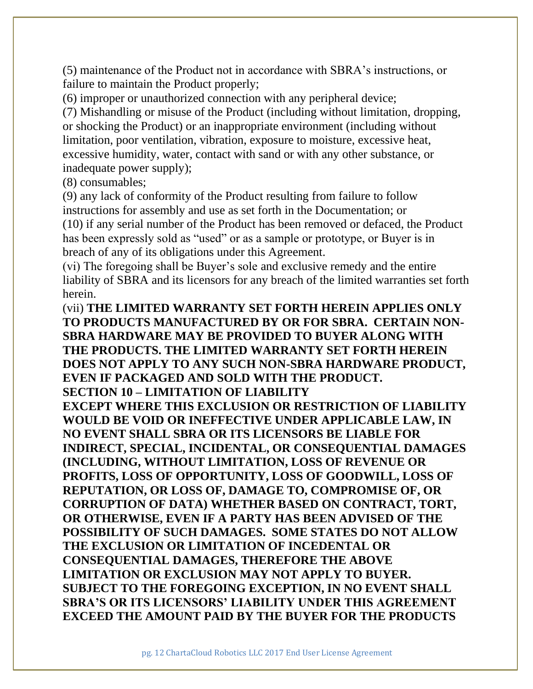(5) maintenance of the Product not in accordance with SBRA's instructions, or failure to maintain the Product properly;

(6) improper or unauthorized connection with any peripheral device;

(7) Mishandling or misuse of the Product (including without limitation, dropping, or shocking the Product) or an inappropriate environment (including without limitation, poor ventilation, vibration, exposure to moisture, excessive heat, excessive humidity, water, contact with sand or with any other substance, or inadequate power supply);

(8) consumables;

(9) any lack of conformity of the Product resulting from failure to follow instructions for assembly and use as set forth in the Documentation; or (10) if any serial number of the Product has been removed or defaced, the Product has been expressly sold as "used" or as a sample or prototype, or Buyer is in breach of any of its obligations under this Agreement.

(vi) The foregoing shall be Buyer's sole and exclusive remedy and the entire liability of SBRA and its licensors for any breach of the limited warranties set forth herein.

(vii) **THE LIMITED WARRANTY SET FORTH HEREIN APPLIES ONLY TO PRODUCTS MANUFACTURED BY OR FOR SBRA. CERTAIN NON-SBRA HARDWARE MAY BE PROVIDED TO BUYER ALONG WITH THE PRODUCTS. THE LIMITED WARRANTY SET FORTH HEREIN DOES NOT APPLY TO ANY SUCH NON-SBRA HARDWARE PRODUCT, EVEN IF PACKAGED AND SOLD WITH THE PRODUCT. SECTION 10 – LIMITATION OF LIABILITY EXCEPT WHERE THIS EXCLUSION OR RESTRICTION OF LIABILITY WOULD BE VOID OR INEFFECTIVE UNDER APPLICABLE LAW, IN NO EVENT SHALL SBRA OR ITS LICENSORS BE LIABLE FOR INDIRECT, SPECIAL, INCIDENTAL, OR CONSEQUENTIAL DAMAGES (INCLUDING, WITHOUT LIMITATION, LOSS OF REVENUE OR PROFITS, LOSS OF OPPORTUNITY, LOSS OF GOODWILL, LOSS OF REPUTATION, OR LOSS OF, DAMAGE TO, COMPROMISE OF, OR CORRUPTION OF DATA) WHETHER BASED ON CONTRACT, TORT, OR OTHERWISE, EVEN IF A PARTY HAS BEEN ADVISED OF THE POSSIBILITY OF SUCH DAMAGES. SOME STATES DO NOT ALLOW THE EXCLUSION OR LIMITATION OF INCEDENTAL OR CONSEQUENTIAL DAMAGES, THEREFORE THE ABOVE LIMITATION OR EXCLUSION MAY NOT APPLY TO BUYER. SUBJECT TO THE FOREGOING EXCEPTION, IN NO EVENT SHALL SBRA'S OR ITS LICENSORS' LIABILITY UNDER THIS AGREEMENT EXCEED THE AMOUNT PAID BY THE BUYER FOR THE PRODUCTS**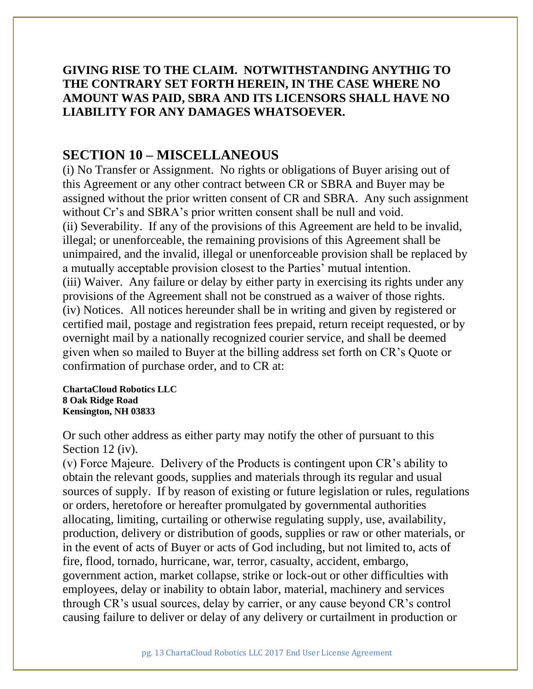#### **GIVING RISE TO THE CLAIM. NOTWITHSTANDING ANYTHIG TO THE CONTRARY SET FORTH HEREIN, IN THE CASE WHERE NO AMOUNT WAS PAID, SBRA AND ITS LICENSORS SHALL HAVE NO LIABILITY FOR ANY DAMAGES WHATSOEVER.**

### **SECTION 10 – MISCELLANEOUS**

(i) No Transfer or Assignment. No rights or obligations of Buyer arising out of this Agreement or any other contract between CR or SBRA and Buyer may be assigned without the prior written consent of CR and SBRA. Any such assignment without Cr's and SBRA's prior written consent shall be null and void. (ii) Severability. If any of the provisions of this Agreement are held to be invalid, illegal; or unenforceable, the remaining provisions of this Agreement shall be unimpaired, and the invalid, illegal or unenforceable provision shall be replaced by a mutually acceptable provision closest to the Parties' mutual intention. (iii) Waiver. Any failure or delay by either party in exercising its rights under any provisions of the Agreement shall not be construed as a waiver of those rights. (iv) Notices. All notices hereunder shall be in writing and given by registered or certified mail, postage and registration fees prepaid, return receipt requested, or by overnight mail by a nationally recognized courier service, and shall be deemed given when so mailed to Buyer at the billing address set forth on CR's Quote or confirmation of purchase order, and to CR at:

**ChartaCloud Robotics LLC 8 Oak Ridge Road Kensington, NH 03833**

Or such other address as either party may notify the other of pursuant to this Section 12 (iv).

(v) Force Majeure. Delivery of the Products is contingent upon CR's ability to obtain the relevant goods, supplies and materials through its regular and usual sources of supply. If by reason of existing or future legislation or rules, regulations or orders, heretofore or hereafter promulgated by governmental authorities allocating, limiting, curtailing or otherwise regulating supply, use, availability, production, delivery or distribution of goods, supplies or raw or other materials, or in the event of acts of Buyer or acts of God including, but not limited to, acts of fire, flood, tornado, hurricane, war, terror, casualty, accident, embargo, government action, market collapse, strike or lock-out or other difficulties with employees, delay or inability to obtain labor, material, machinery and services through CR's usual sources, delay by carrier, or any cause beyond CR's control causing failure to deliver or delay of any delivery or curtailment in production or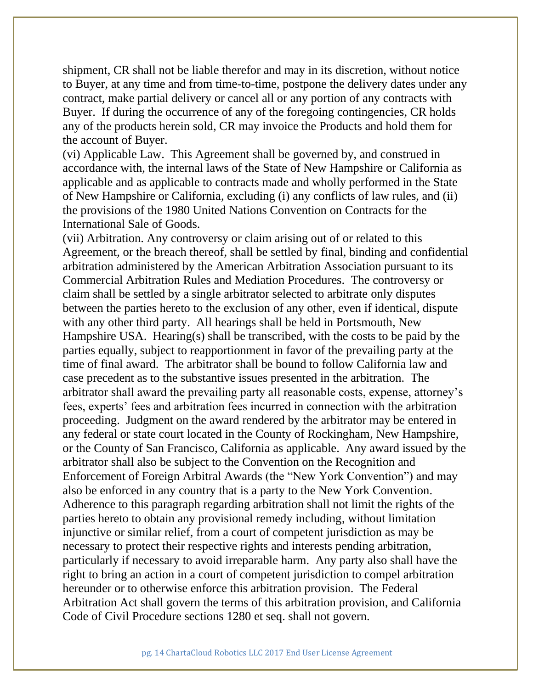shipment, CR shall not be liable therefor and may in its discretion, without notice to Buyer, at any time and from time-to-time, postpone the delivery dates under any contract, make partial delivery or cancel all or any portion of any contracts with Buyer. If during the occurrence of any of the foregoing contingencies, CR holds any of the products herein sold, CR may invoice the Products and hold them for the account of Buyer.

(vi) Applicable Law. This Agreement shall be governed by, and construed in accordance with, the internal laws of the State of New Hampshire or California as applicable and as applicable to contracts made and wholly performed in the State of New Hampshire or California, excluding (i) any conflicts of law rules, and (ii) the provisions of the 1980 United Nations Convention on Contracts for the International Sale of Goods.

(vii) Arbitration. Any controversy or claim arising out of or related to this Agreement, or the breach thereof, shall be settled by final, binding and confidential arbitration administered by the American Arbitration Association pursuant to its Commercial Arbitration Rules and Mediation Procedures. The controversy or claim shall be settled by a single arbitrator selected to arbitrate only disputes between the parties hereto to the exclusion of any other, even if identical, dispute with any other third party. All hearings shall be held in Portsmouth, New Hampshire USA. Hearing(s) shall be transcribed, with the costs to be paid by the parties equally, subject to reapportionment in favor of the prevailing party at the time of final award. The arbitrator shall be bound to follow California law and case precedent as to the substantive issues presented in the arbitration. The arbitrator shall award the prevailing party all reasonable costs, expense, attorney's fees, experts' fees and arbitration fees incurred in connection with the arbitration proceeding. Judgment on the award rendered by the arbitrator may be entered in any federal or state court located in the County of Rockingham, New Hampshire, or the County of San Francisco, California as applicable. Any award issued by the arbitrator shall also be subject to the Convention on the Recognition and Enforcement of Foreign Arbitral Awards (the "New York Convention") and may also be enforced in any country that is a party to the New York Convention. Adherence to this paragraph regarding arbitration shall not limit the rights of the parties hereto to obtain any provisional remedy including, without limitation injunctive or similar relief, from a court of competent jurisdiction as may be necessary to protect their respective rights and interests pending arbitration, particularly if necessary to avoid irreparable harm. Any party also shall have the right to bring an action in a court of competent jurisdiction to compel arbitration hereunder or to otherwise enforce this arbitration provision. The Federal Arbitration Act shall govern the terms of this arbitration provision, and California Code of Civil Procedure sections 1280 et seq. shall not govern.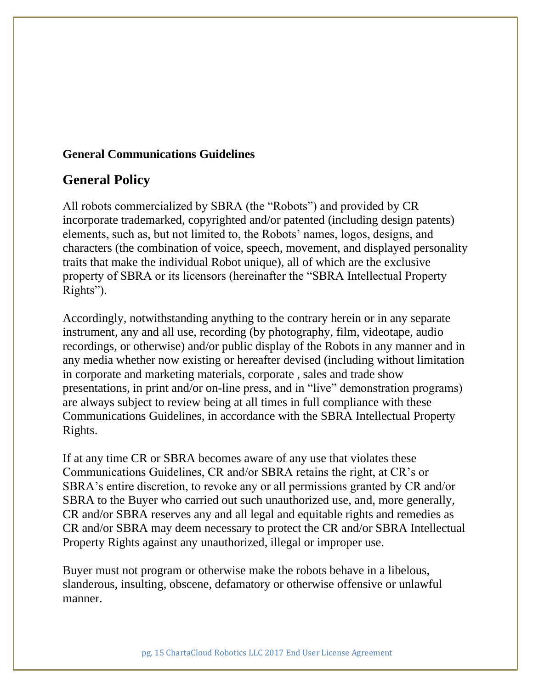#### **General Communications Guidelines**

### **General Policy**

All robots commercialized by SBRA (the "Robots") and provided by CR incorporate trademarked, copyrighted and/or patented (including design patents) elements, such as, but not limited to, the Robots' names, logos, designs, and characters (the combination of voice, speech, movement, and displayed personality traits that make the individual Robot unique), all of which are the exclusive property of SBRA or its licensors (hereinafter the "SBRA Intellectual Property Rights").

Accordingly, notwithstanding anything to the contrary herein or in any separate instrument, any and all use, recording (by photography, film, videotape, audio recordings, or otherwise) and/or public display of the Robots in any manner and in any media whether now existing or hereafter devised (including without limitation in corporate and marketing materials, corporate , sales and trade show presentations, in print and/or on-line press, and in "live" demonstration programs) are always subject to review being at all times in full compliance with these Communications Guidelines, in accordance with the SBRA Intellectual Property Rights.

If at any time CR or SBRA becomes aware of any use that violates these Communications Guidelines, CR and/or SBRA retains the right, at CR's or SBRA's entire discretion, to revoke any or all permissions granted by CR and/or SBRA to the Buyer who carried out such unauthorized use, and, more generally, CR and/or SBRA reserves any and all legal and equitable rights and remedies as CR and/or SBRA may deem necessary to protect the CR and/or SBRA Intellectual Property Rights against any unauthorized, illegal or improper use.

Buyer must not program or otherwise make the robots behave in a libelous, slanderous, insulting, obscene, defamatory or otherwise offensive or unlawful manner.